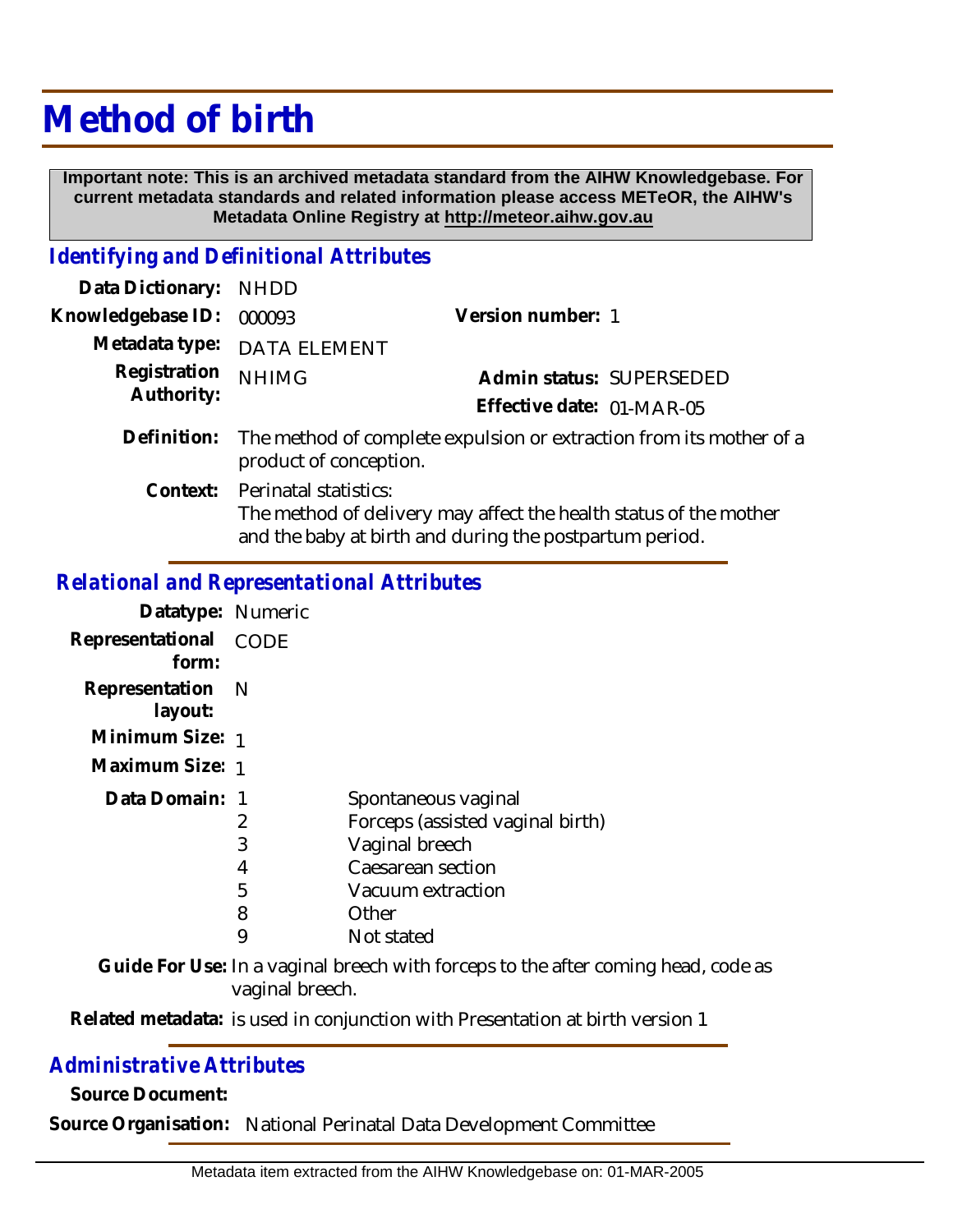# **Method of birth**

 **Important note: This is an archived metadata standard from the AIHW Knowledgebase. For current metadata standards and related information please access METeOR, the AIHW's Metadata Online Registry at http://meteor.aihw.gov.au**

#### *Identifying and Definitional Attributes*

| Data Dictionary:           | <b>NHDD</b>                                                                                   |                                                                                                                              |  |
|----------------------------|-----------------------------------------------------------------------------------------------|------------------------------------------------------------------------------------------------------------------------------|--|
| Knowledgebase ID:          | 000093                                                                                        | Version number: 1                                                                                                            |  |
| Metadata type:             | <b>DATA ELEMENT</b>                                                                           |                                                                                                                              |  |
| Registration<br>Authority: | <b>NHIMG</b>                                                                                  | Admin status: SUPERSEDED                                                                                                     |  |
|                            |                                                                                               | Effective date: 01-MAR-05                                                                                                    |  |
| Definition:                | The method of complete expulsion or extraction from its mother of a<br>product of conception. |                                                                                                                              |  |
| Context:                   | Perinatal statistics:                                                                         | The method of delivery may affect the health status of the mother<br>and the baby at birth and during the postpartum period. |  |

#### *Relational and Representational Attributes*

| Datatype: Numeric           |                            |                                                                                                                                            |
|-----------------------------|----------------------------|--------------------------------------------------------------------------------------------------------------------------------------------|
| Representational<br>form:   | <b>CODE</b>                |                                                                                                                                            |
| Representation N<br>layout: |                            |                                                                                                                                            |
| Minimum Size: 1             |                            |                                                                                                                                            |
| Maximum Size: 1             |                            |                                                                                                                                            |
| Data Domain: 1              | 2<br>3<br>4<br>5<br>8<br>9 | Spontaneous vaginal<br>Forceps (assisted vaginal birth)<br>Vaginal breech<br>Caesarean section<br>Vacuum extraction<br>Other<br>Not stated |

Guide For Use: In a vaginal breech with forceps to the after coming head, code as vaginal breech.

Related metadata: is used in conjunction with Presentation at birth version 1

### *Administrative Attributes*

**Source Document:**

**Source Organisation:** National Perinatal Data Development Committee